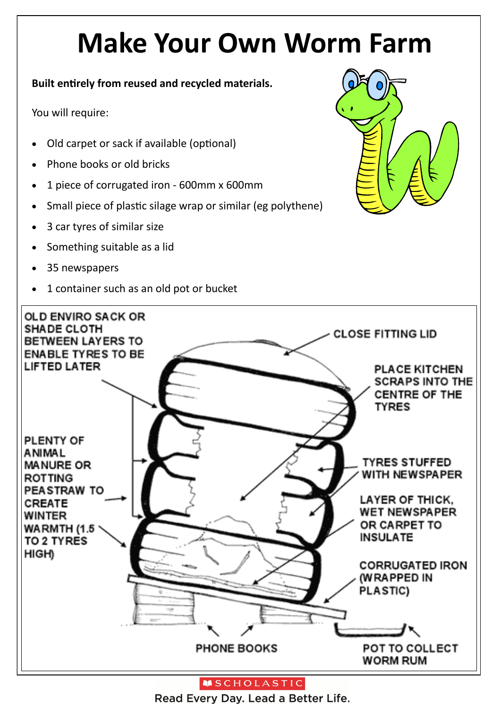# **Make Your Own Worm Farm**

#### **Built entirely from reused and recycled materials.**

You will require:

- Old carpet or sack if available (optional)
- Phone books or old bricks
- 1 piece of corrugated iron 600mm x 600mm
- Small piece of plastic silage wrap or similar (eg polythene)
- 3 car tyres of similar size
- Something suitable as a lid
- 35 newspapers
- 1 container such as an old pot or bucket





**MSCHOLASTIC** 

Read Every Day. Lead a Better Life.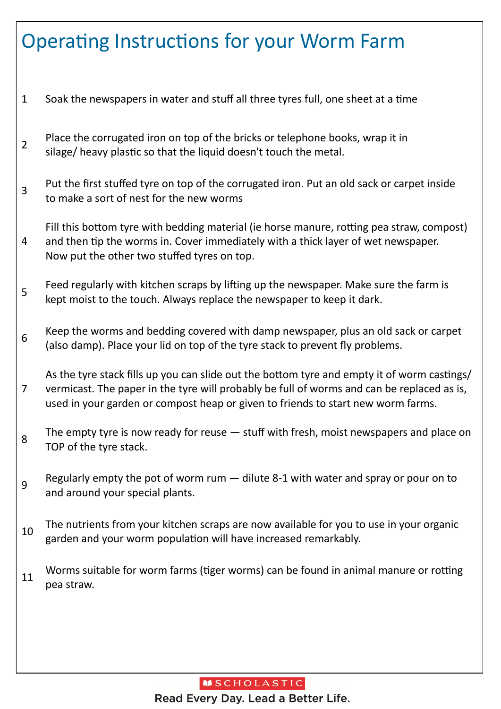## Operating Instructions for your Worm Farm

- 1 Soak the newspapers in water and stuff all three tyres full, one sheet at a time
- 2 Place the corrugated iron on top of the bricks or telephone books, wrap it in silage/ heavy plastic so that the liquid doesn't touch the metal.
- 3 Put the first stuffed tyre on top of the corrugated iron. Put an old sack or carpet inside to make a sort of nest for the new worms

4 Fill this bottom tyre with bedding material (ie horse manure, rotting pea straw, compost) and then tip the worms in. Cover immediately with a thick layer of wet newspaper. Now put the other two stuffed tyres on top.

- 5 Feed regularly with kitchen scraps by lifting up the newspaper. Make sure the farm is kept moist to the touch. Always replace the newspaper to keep it dark.
- 6 Keep the worms and bedding covered with damp newspaper, plus an old sack or carpet (also damp). Place your lid on top of the tyre stack to prevent fly problems.

7 As the tyre stack fills up you can slide out the bottom tyre and empty it of worm castings/ vermicast. The paper in the tyre will probably be full of worms and can be replaced as is, used in your garden or compost heap or given to friends to start new worm farms.

- 8 The empty tyre is now ready for reuse — stuff with fresh, moist newspapers and place on TOP of the tyre stack.
- 9 Regularly empty the pot of worm rum — dilute 8-1 with water and spray or pour on to and around your special plants.
- 10 The nutrients from your kitchen scraps are now available for you to use in your organic garden and your worm population will have increased remarkably.
- 11 Worms suitable for worm farms ([tiger worms\)](http://en.wikipedia.org/wiki/Eisenia_fetida) can be found in animal manure or rotting pea straw.